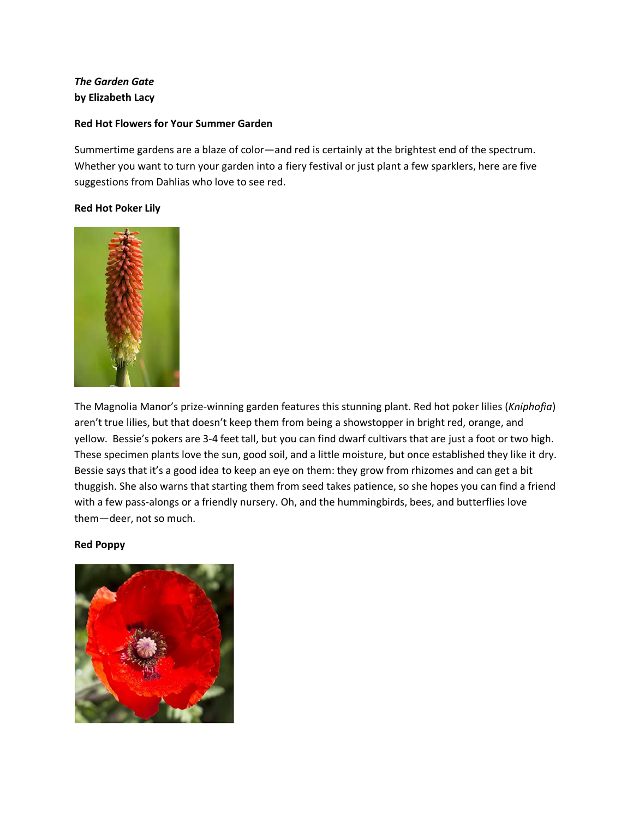# *The Garden Gate* **by Elizabeth Lacy**

## **Red Hot Flowers for Your Summer Garden**

Summertime gardens are a blaze of color—and red is certainly at the brightest end of the spectrum. Whether you want to turn your garden into a fiery festival or just plant a few sparklers, here are five suggestions from Dahlias who love to see red.

## **Red Hot Poker Lily**



The Magnolia Manor's prize-winning garden features this stunning plant. Red hot poker lilies (*Kniphofia*) aren't true lilies, but that doesn't keep them from being a showstopper in bright red, orange, and yellow. Bessie's pokers are 3-4 feet tall, but you can find dwarf cultivars that are just a foot or two high. These specimen plants love the sun, good soil, and a little moisture, but once established they like it dry. Bessie says that it's a good idea to keep an eye on them: they grow from rhizomes and can get a bit thuggish. She also warns that starting them from seed takes patience, so she hopes you can find a friend with a few pass-alongs or a friendly nursery. Oh, and the hummingbirds, bees, and butterflies love them—deer, not so much.

#### **Red Poppy**

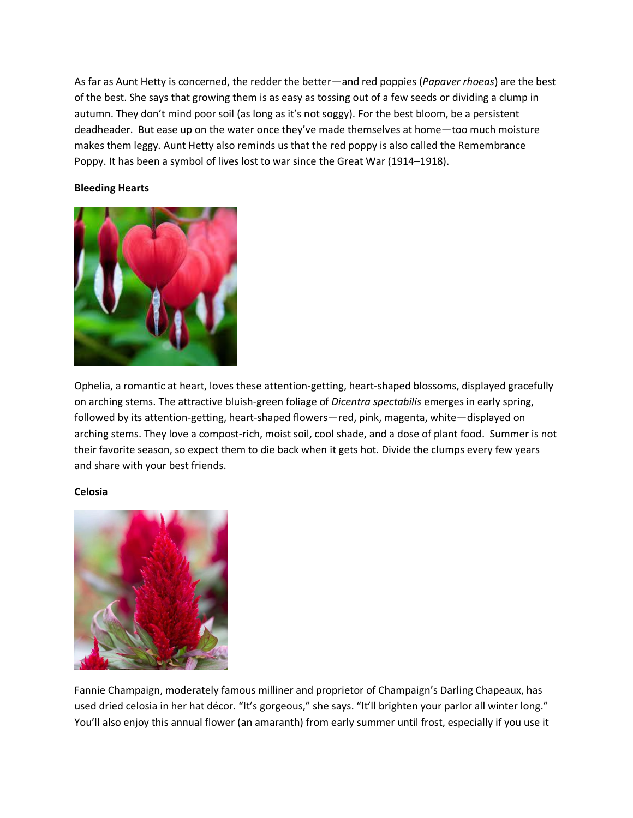As far as Aunt Hetty is concerned, the redder the better—and red poppies (*Papaver rhoeas*) are the best of the best. She says that growing them is as easy as tossing out of a few seeds or dividing a clump in autumn. They don't mind poor soil (as long as it's not soggy). For the best bloom, be a persistent deadheader. But ease up on the water once they've made themselves at home—too much moisture makes them leggy. Aunt Hetty also reminds us that the red poppy is also called the Remembrance Poppy. It has been a symbol of lives lost to war since the Great War (1914–1918).

## **Bleeding Hearts**



Ophelia, a romantic at heart, loves these attention-getting, heart-shaped blossoms, displayed gracefully on arching stems. The attractive bluish-green foliage of *Dicentra spectabilis* emerges in early spring, followed by its attention-getting, heart-shaped flowers—red, pink, magenta, white—displayed on arching stems. They love a compost-rich, moist soil, cool shade, and a dose of plant food. Summer is not their favorite season, so expect them to die back when it gets hot. Divide the clumps every few years and share with your best friends.

#### **Celosia**



Fannie Champaign, moderately famous milliner and proprietor of Champaign's Darling Chapeaux, has used dried celosia in her hat décor. "It's gorgeous," she says. "It'll brighten your parlor all winter long." You'll also enjoy this annual flower (an amaranth) from early summer until frost, especially if you use it